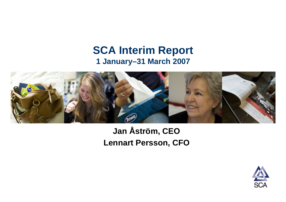### **SCA Interim Report 1 January–31 March 2007**



### **Jan Åström, CEO Lennart Persson, CFO**

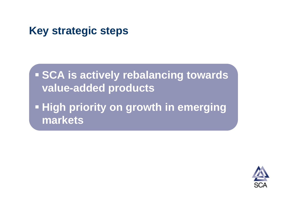## **Key strategic steps**

 **SCA is actively rebalancing towards value-added products High priority on growth in emerging markets**

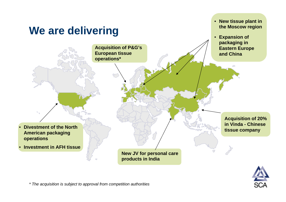

*\* The acquisition is subject to approval from competition authorities*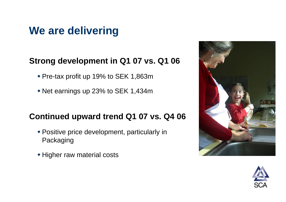## **We are delivering**

### **Strong development in Q1 07 vs. Q1 06**

- Pre-tax profit up 19% to SEK 1,863m
- Net earnings up 23% to SEK 1,434m

### **Continued upward trend Q1 07 vs. Q4 06**

- Positive price development, particularly in Packaging
- Higher raw material costs



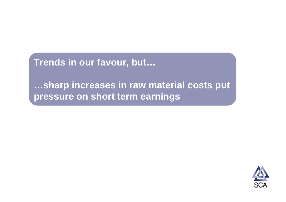**Trends in our favour, but…**

**…sharp increases in raw material costs put pressure on short term earnings**

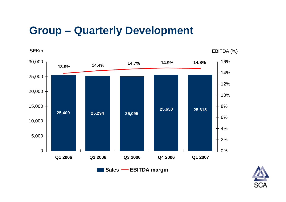## **Group – Quarterly Development**

SEKm

EBITDA (%)



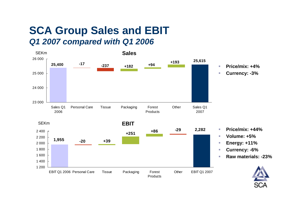### **SCA Group Sales and EBIT**  *Q1 2007 compared with Q1 2006*

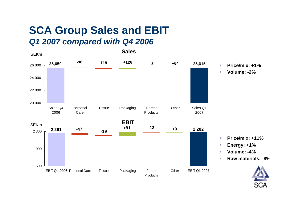### **SCA Group Sales and EBIT**  *Q1 2007 compared with Q4 2006*

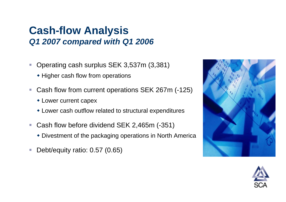### **Cash-flow Analysis**  *Q1 2007 compared with Q1 2006*

- $\overline{\phantom{a}}$  Operating cash surplus SEK 3,537m (3,381)
	- Higher cash flow from operations
- $\mathcal{L}_{\mathcal{A}}$  Cash flow from current operations SEK 267m (-125)
	- Lower current capex
	- Lower cash outflow related to structural expenditures
- $\mathcal{L}_{\mathcal{A}}$  Cash flow before dividend SEK 2,465m (-351)
	- Divestment of the packaging operations in North America
- $\mathcal{L}_{\mathcal{A}}$ Debt/equity ratio: 0.57 (0.65)



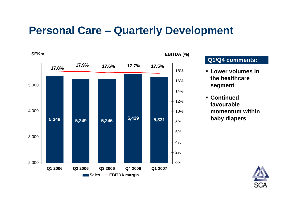## **Personal Care – Quarterly Development**



### **Q1/Q4 comments:**

- $\blacksquare$  **Lower volumes in the healthcare segment**
- $\blacksquare$  **Continued favourable momentum within baby diapers**

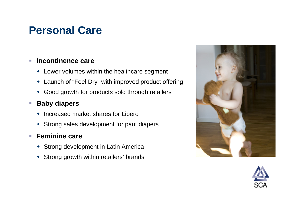## **Personal Care**

#### Ē. **Incontinence care**

- Lower volumes within the healthcare segment
- Launch of "Feel Dry" with improved product offering
- Good growth for products sold through retailers

#### $\mathcal{L}_{\mathcal{A}}$ **Baby diapers**

- $\bullet$ Increased market shares for Libero
- Strong sales development for pant diapers

#### П **Feminine care**

- **\*** Strong development in Latin America
- Strong growth within retailers' brands



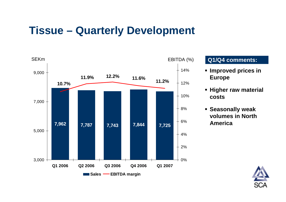### **Tissue – Quarterly Development**



### EBITDA (%) **Q1/Q4 comments:**

- **Improved prices in Europe**
- **Higher raw material costs**
- **Seasonally weak volumes in North America**

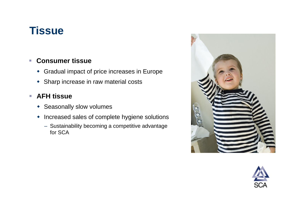## **Tissue**

#### $\overline{\phantom{a}}$ **Consumer tissue**

- Gradual impact of price increases in Europe
- Sharp increase in raw material costs

#### $\mathcal{L}_{\mathcal{A}}$ **AFH tissue**

- **\*** Seasonally slow volumes
- Increased sales of complete hygiene solutions
	- Sustainability becoming a competitive advantage for SCA



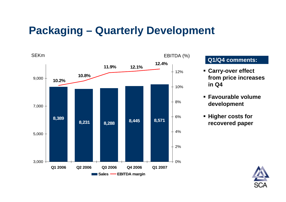## **Packaging – Quarterly Development**



### EBITDA (%) **Q1/Q4 comments:**

- **Carry-over effect from price increases in Q4**
- **Favourable volume development**
- **Higher costs for recovered paper**

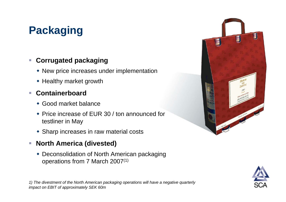# **Packaging**

#### $\overline{\phantom{a}}$ **Corrugated packaging**

- New price increases under implementation
- Healthy market growth

#### $\overline{\phantom{a}}$ **Containerboard**

- Good market balance
- Price increase of EUR 30 / ton announced for testliner in May
- Sharp increases in raw material costs

#### $\mathcal{L}_{\mathcal{A}}$ **North America (divested)**

 Deconsolidation of North American packaging operations from 7 March 2007(1)



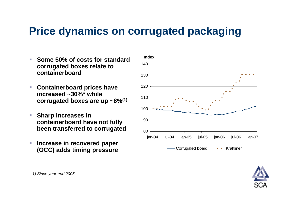## **Price dynamics on corrugated packaging**

- $\mathcal{L}_{\mathcal{A}}$  **Some 50% of costs for standard corrugated boxes relate to containerboard**
- $\mathcal{L}_{\mathcal{A}}$  **Containerboard prices have increased ~30%\* while corrugated boxes are up ~8%(1)**
- $\mathcal{L}_{\mathcal{A}}$  **Sharp increases in containerboard have not fully been transferred to corrugated**
- $\mathcal{L}_{\mathcal{A}}$  **Increase in recovered paper (OCC) adds timing pressure**



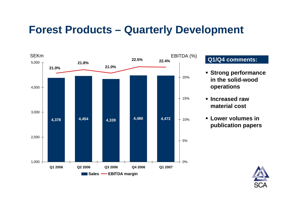## **Forest Products – Quarterly Development**



### EBITDA (%) **Q1/Q4 comments:**

- **Strong performance in the solid-wood operations**
- **Increased raw material cost**
- **Lower volumes in publication papers**

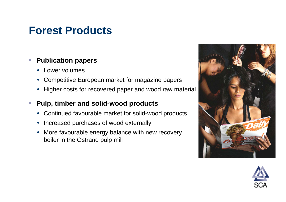## **Forest Products**

#### $\overline{\phantom{a}}$ **Publication papers**

- Lower volumes
- Competitive European market for magazine papers
- Higher costs for recovered paper and wood raw material

#### $\mathcal{L}_{\mathcal{A}}$ **Pulp, timber and solid-wood products**

- Continued favourable market for solid-wood products
- Increased purchases of wood externally
- More favourable energy balance with new recovery boiler in the Östrand pulp mill



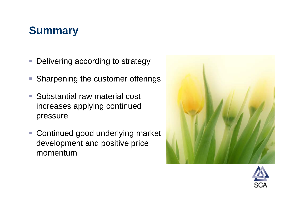# **Summary**

- $\mathcal{L}_{\mathcal{A}}$ Delivering according to strategy
- $\overline{\phantom{a}}$ Sharpening the customer offerings
- Substantial raw material cost increases applying continued pressure
- Continued good underlying market development and positive price momentum